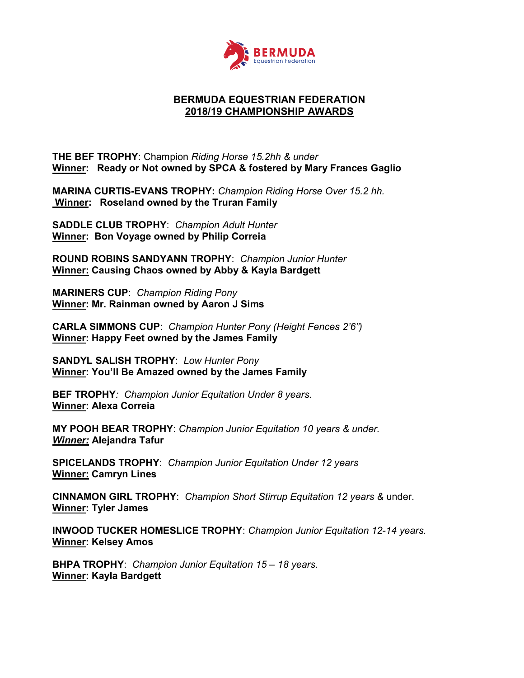

## BERMUDA EQUESTRIAN FEDERATION 2018/19 CHAMPIONSHIP AWARDS

THE BEF TROPHY: Champion Riding Horse 15.2hh & under Winner: Ready or Not owned by SPCA & fostered by Mary Frances Gaglio

MARINA CURTIS-EVANS TROPHY: Champion Riding Horse Over 15.2 hh. Winner: Roseland owned by the Truran Family

SADDLE CLUB TROPHY: Champion Adult Hunter Winner: Bon Voyage owned by Philip Correia

ROUND ROBINS SANDYANN TROPHY: Champion Junior Hunter Winner: Causing Chaos owned by Abby & Kayla Bardgett

MARINERS CUP: Champion Riding Pony Winner: Mr. Rainman owned by Aaron J Sims

CARLA SIMMONS CUP: Champion Hunter Pony (Height Fences 2'6") Winner: Happy Feet owned by the James Family

SANDYL SALISH TROPHY: Low Hunter Pony Winner: You'll Be Amazed owned by the James Family

BEF TROPHY: Champion Junior Equitation Under 8 years. Winner: Alexa Correia

MY POOH BEAR TROPHY: Champion Junior Equitation 10 years & under. Winner: Alejandra Tafur

SPICELANDS TROPHY: Champion Junior Equitation Under 12 years Winner: Camryn Lines

CINNAMON GIRL TROPHY: Champion Short Stirrup Equitation 12 years & under. Winner: Tyler James

INWOOD TUCKER HOMESLICE TROPHY: Champion Junior Equitation 12-14 years. Winner: Kelsey Amos

BHPA TROPHY: Champion Junior Equitation 15 - 18 years. Winner: Kayla Bardgett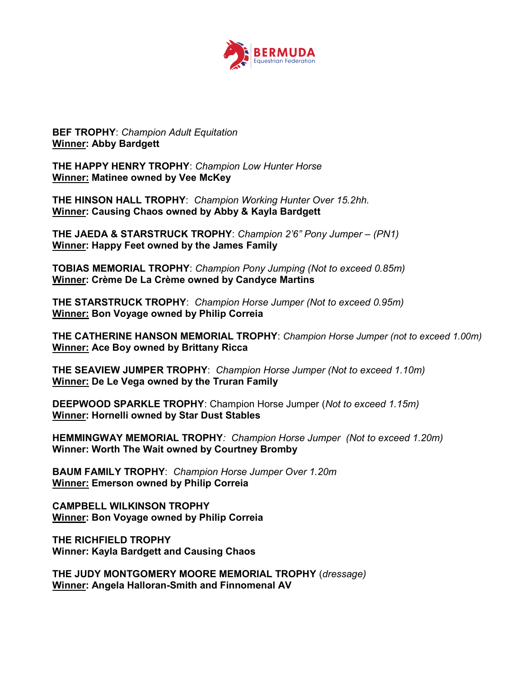

**BEF TROPHY: Champion Adult Equitation** Winner: Abby Bardgett

THE HAPPY HENRY TROPHY: Champion Low Hunter Horse Winner: Matinee owned by Vee McKey

THE HINSON HALL TROPHY: Champion Working Hunter Over 15.2hh. Winner: Causing Chaos owned by Abby & Kayla Bardgett

THE JAEDA & STARSTRUCK TROPHY: Champion 2'6" Pony Jumper – (PN1) Winner: Happy Feet owned by the James Family

TOBIAS MEMORIAL TROPHY: Champion Pony Jumping (Not to exceed 0.85m) Winner: Crème De La Crème owned by Candyce Martins

THE STARSTRUCK TROPHY: Champion Horse Jumper (Not to exceed 0.95m) Winner: Bon Voyage owned by Philip Correia

THE CATHERINE HANSON MEMORIAL TROPHY: Champion Horse Jumper (not to exceed 1.00m) **Winner: Ace Boy owned by Brittany Ricca** 

THE SEAVIEW JUMPER TROPHY: Champion Horse Jumper (Not to exceed 1.10m) Winner: De Le Vega owned by the Truran Family

DEEPWOOD SPARKLE TROPHY: Champion Horse Jumper (Not to exceed 1.15m) Winner: Hornelli owned by Star Dust Stables

HEMMINGWAY MEMORIAL TROPHY: Champion Horse Jumper (Not to exceed 1.20m) Winner: Worth The Wait owned by Courtney Bromby

BAUM FAMILY TROPHY: Champion Horse Jumper Over 1.20m Winner: Emerson owned by Philip Correia

CAMPBELL WILKINSON TROPHY **Winner: Bon Voyage owned by Philip Correia** 

THE RICHFIELD TROPHY Winner: Kayla Bardgett and Causing Chaos

THE JUDY MONTGOMERY MOORE MEMORIAL TROPHY (dressage) Winner: Angela Halloran-Smith and Finnomenal AV